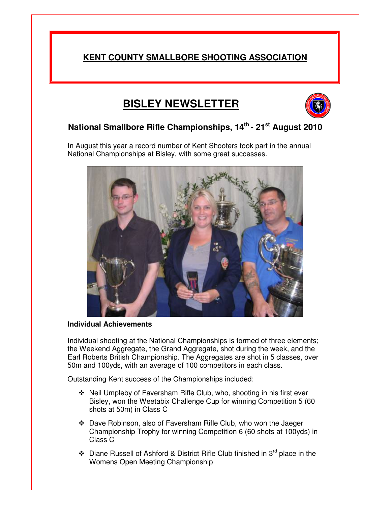# **KENT COUNTY SMALLBORE SHOOTING ASSOCIATION**

# **BISLEY NEWSLETTER**



## **National Smallbore Rifle Championships, 14 th - 21 st August 2010**

In August this year a record number of Kent Shooters took part in the annual National Championships at Bisley, with some great successes.



#### **Individual Achievements**

Individual shooting at the National Championships is formed of three elements; the Weekend Aggregate, the Grand Aggregate, shot during the week, and the Earl Roberts British Championship. The Aggregates are shot in 5 classes, over 50m and 100yds, with an average of 100 competitors in each class.

Outstanding Kent success of the Championships included:

- Neil Umpleby of Faversham Rifle Club, who, shooting in his first ever Bisley, won the Weetabix Challenge Cup for winning Competition 5 (60 shots at 50m) in Class C
- Dave Robinson, also of Faversham Rifle Club, who won the Jaeger Championship Trophy for winning Competition 6 (60 shots at 100yds) in Class C
- ❖ Diane Russell of Ashford & District Rifle Club finished in 3<sup>rd</sup> place in the Womens Open Meeting Championship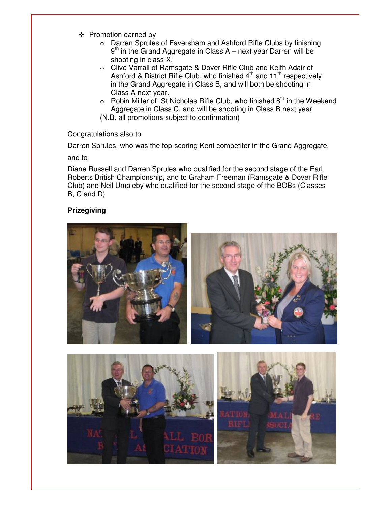- ❖ Promotion earned by
	- o Darren Sprules of Faversham and Ashford Rifle Clubs by finishing 9<sup>th</sup> in the Grand Aggregate in Class A – next year Darren will be shooting in class X,
	- o Clive Varrall of Ramsgate & Dover Rifle Club and Keith Adair of Ashford & District Rifle Club, who finished 4<sup>th</sup> and 11<sup>th</sup> respectively in the Grand Aggregate in Class B, and will both be shooting in Class A next year.
	- $\circ$  Robin Miller of St Nicholas Rifle Club, who finished 8<sup>th</sup> in the Weekend Aggregate in Class C, and will be shooting in Class B next year (N.B. all promotions subject to confirmation)

#### Congratulations also to

Darren Sprules, who was the top-scoring Kent competitor in the Grand Aggregate,

and to

Diane Russell and Darren Sprules who qualified for the second stage of the Earl Roberts British Championship, and to Graham Freeman (Ramsgate & Dover Rifle Club) and Neil Umpleby who qualified for the second stage of the BOBs (Classes B, C and D)

#### **Prizegiving**

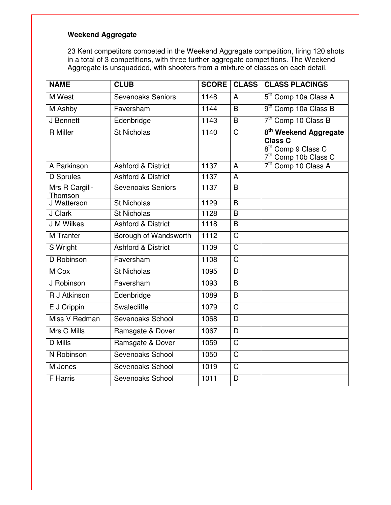## **Weekend Aggregate**

23 Kent competitors competed in the Weekend Aggregate competition, firing 120 shots in a total of 3 competitions, with three further aggregate competitions. The Weekend Aggregate is unsquadded, with shooters from a mixture of classes on each detail.

| <b>NAME</b>               | <b>CLUB</b>                   | <b>SCORE</b> | <b>CLASS</b>          | <b>CLASS PLACINGS</b>                                                                                                     |
|---------------------------|-------------------------------|--------------|-----------------------|---------------------------------------------------------------------------------------------------------------------------|
| <b>M</b> West             | <b>Sevenoaks Seniors</b>      | 1148         | $\overline{A}$        | 5 <sup>th</sup> Comp 10a Class A                                                                                          |
| M Ashby                   | Faversham                     | 1144         | B                     | 9 <sup>th</sup> Comp 10a Class B                                                                                          |
| J Bennett                 | Edenbridge                    | 1143         | B                     | 7 <sup>th</sup> Comp 10 Class B                                                                                           |
| <b>R</b> Miller           | <b>St Nicholas</b>            | 1140         | $\overline{\text{C}}$ | 8 <sup>th</sup> Weekend Aggregate<br><b>Class C</b><br>8 <sup>th</sup> Comp 9 Class C<br>7 <sup>th</sup> Comp 10b Class C |
| A Parkinson               | <b>Ashford &amp; District</b> | 1137         | $\overline{A}$        | 7 <sup>th</sup> Comp 10 Class A                                                                                           |
| <b>D</b> Sprules          | <b>Ashford &amp; District</b> | 1137         | A                     |                                                                                                                           |
| Mrs R Cargill-<br>Thomson | <b>Sevenoaks Seniors</b>      | 1137         | B                     |                                                                                                                           |
| J Watterson               | <b>St Nicholas</b>            | 1129         | B                     |                                                                                                                           |
| J Clark                   | <b>St Nicholas</b>            | 1128         | $\overline{B}$        |                                                                                                                           |
| J M Wilkes                | <b>Ashford &amp; District</b> | 1118         | B                     |                                                                                                                           |
| <b>M</b> Tranter          | Borough of Wandsworth         | 1112         | $\overline{\text{C}}$ |                                                                                                                           |
| S Wright                  | <b>Ashford &amp; District</b> | 1109         | $\overline{\text{C}}$ |                                                                                                                           |
| D Robinson                | Faversham                     | 1108         | $\overline{C}$        |                                                                                                                           |
| M Cox                     | <b>St Nicholas</b>            | 1095         | D                     |                                                                                                                           |
| J Robinson                | Faversham                     | 1093         | B                     |                                                                                                                           |
| R J Atkinson              | Edenbridge                    | 1089         | B                     |                                                                                                                           |
| E J Crippin               | Swalecliffe                   | 1079         | $\overline{\text{C}}$ |                                                                                                                           |
| Miss V Redman             | Sevenoaks School              | 1068         | D                     |                                                                                                                           |
| Mrs C Mills               | Ramsgate & Dover              | 1067         | D                     |                                                                                                                           |
| <b>D</b> Mills            | Ramsgate & Dover              | 1059         | $\overline{C}$        |                                                                                                                           |
| N Robinson                | Sevenoaks School              | 1050         | $\overline{C}$        |                                                                                                                           |
| M Jones                   | Sevenoaks School              | 1019         | $\overline{\text{C}}$ |                                                                                                                           |
| <b>F</b> Harris           | Sevenoaks School              | 1011         | D                     |                                                                                                                           |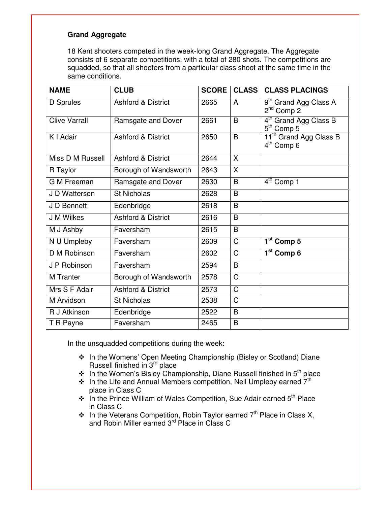#### **Grand Aggregate**

18 Kent shooters competed in the week-long Grand Aggregate. The Aggregate consists of 6 separate competitions, with a total of 280 shots. The competitions are squadded, so that all shooters from a particular class shoot at the same time in the same conditions.

| <b>NAME</b>          | <b>CLUB</b>                   | <b>SCORE</b> | <b>CLASS</b>          | <b>CLASS PLACINGS</b>                                        |  |
|----------------------|-------------------------------|--------------|-----------------------|--------------------------------------------------------------|--|
| D Sprules            | <b>Ashford &amp; District</b> | 2665         | A                     | 9 <sup>th</sup> Grand Agg Class A<br>$2nd$ Comp 2            |  |
| <b>Clive Varrall</b> | Ramsgate and Dover            | 2661         | B                     | 4 <sup>th</sup> Grand Agg Class B<br>5 <sup>th</sup> Comp 5  |  |
| K I Adair            | <b>Ashford &amp; District</b> | 2650         | B                     | 11 <sup>th</sup> Grand Agg Class B<br>4 <sup>th</sup> Comp 6 |  |
| Miss D M Russell     | <b>Ashford &amp; District</b> | 2644         | X                     |                                                              |  |
| R Taylor             | Borough of Wandsworth         | 2643         | X                     |                                                              |  |
| <b>G M Freeman</b>   | Ramsgate and Dover            | 2630         | B                     | $4th$ Comp 1                                                 |  |
| J D Watterson        | St Nicholas                   | 2628         | B                     |                                                              |  |
| J D Bennett          | Edenbridge                    | 2618         | B                     |                                                              |  |
| J M Wilkes           | <b>Ashford &amp; District</b> | 2616         | B                     |                                                              |  |
| M J Ashby            | Faversham                     | 2615         | B                     |                                                              |  |
| N U Umpleby          | Faversham                     | 2609         | $\overline{\text{C}}$ | $1st$ Comp 5                                                 |  |
| D M Robinson         | Faversham                     | 2602         | C                     | $\overline{1^{st}}$ Comp 6                                   |  |
| J P Robinson         | Faversham                     | 2594         | B                     |                                                              |  |
| <b>M</b> Tranter     | Borough of Wandsworth         | 2578         | C                     |                                                              |  |
| Mrs S F Adair        | <b>Ashford &amp; District</b> | 2573         | C                     |                                                              |  |
| M Arvidson           | <b>St Nicholas</b>            | 2538         | $\mathsf{C}$          |                                                              |  |
| R J Atkinson         | Edenbridge                    | 2522         | B                     |                                                              |  |
| T R Payne            | Faversham                     | 2465         | B                     |                                                              |  |

In the unsquadded competitions during the week:

- In the Womens' Open Meeting Championship (Bisley or Scotland) Diane Russell finished in 3<sup>rd</sup> place
- ❖ In the Women's Bisley Championship, Diane Russell finished in 5<sup>th</sup> place
- $\cdot$  In the Life and Annual Members competition, Neil Umpleby earned  $7<sup>th</sup>$ place in Class C
- ❖ In the Prince William of Wales Competition, Sue Adair earned 5<sup>th</sup> Place in Class C
- $\div$  In the Veterans Competition, Robin Taylor earned  $7<sup>th</sup>$  Place in Class X, and Robin Miller earned 3<sup>rd</sup> Place in Class C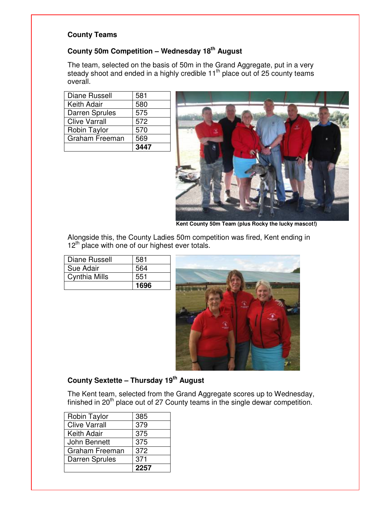#### **County Teams**

#### **County 50m Competition – Wednesday 18 th August**

The team, selected on the basis of 50m in the Grand Aggregate, put in a very steady shoot and ended in a highly credible 11<sup>th</sup> place out of 25 county teams overall.

| Diane Russell         | 581  |
|-----------------------|------|
| Keith Adair           | 580  |
| <b>Darren Sprules</b> | 575  |
| <b>Clive Varrall</b>  | 572  |
| Robin Taylor          | 570  |
| Graham Freeman        | 569  |
|                       | 3447 |



**Kent County 50m Team (plus Rocky the lucky mascot!)**

Alongside this, the County Ladies 50m competition was fired, Kent ending in 12<sup>th</sup> place with one of our highest ever totals.

| <b>Diane Russell</b> | 581  |
|----------------------|------|
| Sue Adair            | 564  |
| Cynthia Mills        | 551  |
|                      | 1696 |



## **County Sextette – Thursday 19 th August**

The Kent team, selected from the Grand Aggregate scores up to Wednesday, finished in 20<sup>th</sup> place out of 27 County teams in the single dewar competition.

|                       | 371 |
|-----------------------|-----|
| <b>Darren Sprules</b> |     |
| Graham Freeman        | 372 |
| John Bennett          | 375 |
| Keith Adair           | 375 |
| <b>Clive Varrall</b>  | 379 |
| Robin Taylor          | 385 |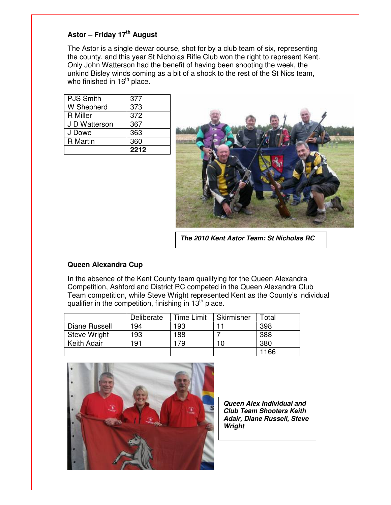#### **Astor – Friday 17 th August**

The Astor is a single dewar course, shot for by a club team of six, representing the county, and this year St Nicholas Rifle Club won the right to represent Kent. Only John Watterson had the benefit of having been shooting the week, the unkind Bisley winds coming as a bit of a shock to the rest of the St Nics team, who finished in 16<sup>th</sup> place.

|                  | 2212 |
|------------------|------|
| <b>R</b> Martin  | 360  |
| J Dowe           | 363  |
| J D Watterson    | 367  |
| <b>R</b> Miller  | 372  |
| W Shepherd       | 373  |
| <b>PJS Smith</b> | 377  |



*The 2010 Kent Astor Team: St Nicholas RC*

#### **Queen Alexandra Cup**

In the absence of the Kent County team qualifying for the Queen Alexandra Competition, Ashford and District RC competed in the Queen Alexandra Club Team competition, while Steve Wright represented Kent as the County's individual qualifier in the competition, finishing in 13<sup>th</sup> place.

|               | Deliberate | Time Limit | Skirmisher | Total |
|---------------|------------|------------|------------|-------|
| Diane Russell | 194        | 193        |            | 398   |
| Steve Wright  | 193        | 188        |            | 388   |
| Keith Adair   | 191        | 79         | 10         | 380   |
|               |            |            |            | 1166  |



*Queen Alex Individual and Club Team Shooters Keith Adair, Diane Russell, Steve Wright*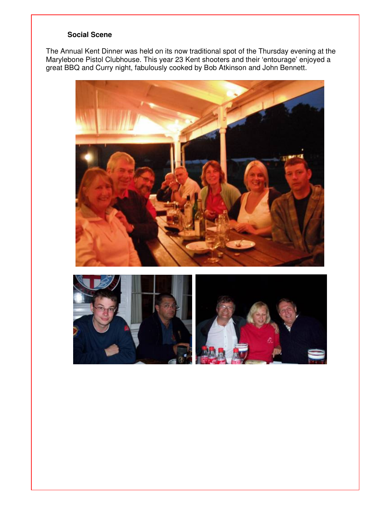#### **Social Scene**

The Annual Kent Dinner was held on its now traditional spot of the Thursday evening at the Marylebone Pistol Clubhouse. This year 23 Kent shooters and their 'entourage' enjoyed a great BBQ and Curry night, fabulously cooked by Bob Atkinson and John Bennett.